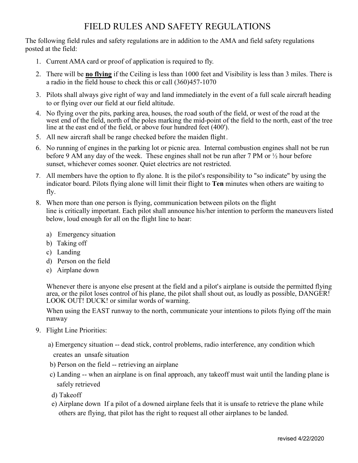## FIELD RULES AND SAFETY REGULATIONS

The following field rules and safety regulations are in addition to the AMA and field safety regulations posted at the field:

- 1. Current AMA card or proof of application is required to fly.
- 2. There will be **no flying** if the Ceiling is less than 1000 feet and Visibility is less than 3 miles. There is a radio in the field house to check this or call (360)457-1070
- 3. Pilots shall always give right of way and land immediately in the event of a full scale aircraft heading to or flying over our field at our field altitude.
- 4. No flying over the pits, parking area, houses, the road south of the field, or west of the road at the west end of the field, north of the poles marking the mid-point of the field to the north, east of the tree line at the east end of the field, or above four hundred feet (400').
- 5. All new aircraft shall be range checked before the maiden flight.
- 6. No running of engines in the parking lot or picnic area. Internal combustion engines shall not be run before 9 AM any day of the week. These engines shall not be run after 7 PM or ½ hour before sunset, whichever comes sooner. Quiet electrics are not restricted.
- 7. All members have the option to fly alone. It is the pilot's responsibility to "so indicate" by using the indicator board. Pilots flying alone will limit their flight to **Ten** minutes when others are waiting to fly.
- 8. When more than one person is flying, communication between pilots on the flight line is critically important. Each pilot shall announce his/her intention to perform the maneuvers listed below, loud enough for all on the flight line to hear:
	- a) Emergency situation
	- b) Taking off
	- c) Landing
	- d) Person on the field
	- e) Airplane down

Whenever there is anyone else present at the field and a pilot's airplane is outside the permitted flying area, or the pilot loses control of his plane, the pilot shall shout out, as loudly as possible, DANGER! LOOK OUT! DUCK! or similar words of warning.

When using the EAST runway to the north, communicate your intentions to pilots flying off the main runway

- 9. Flight Line Priorities:
	- a) Emergency situation -- dead stick, control problems, radio interference, any condition which creates an unsafe situation
	- b) Person on the field -- retrieving an airplane
	- c) Landing -- when an airplane is on final approach, any takeoff must wait until the landing plane is safely retrieved
	- d) Takeoff
	- e) Airplane down If a pilot of a downed airplane feels that it is unsafe to retrieve the plane while others are flying, that pilot has the right to request all other airplanes to be landed.